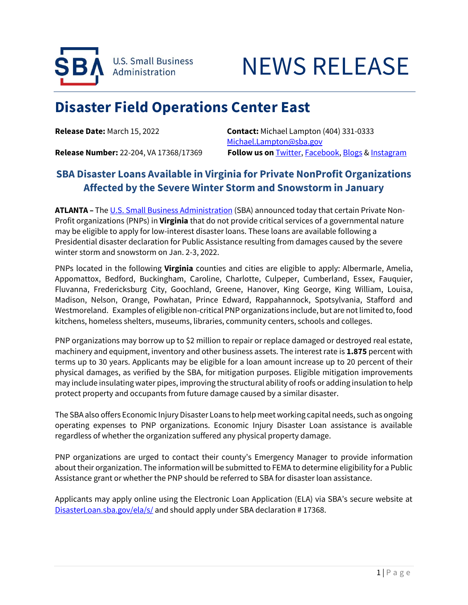

## NEWS RELEASE

## **Disaster Field Operations Center East**

**Release Date:** March 15, 2022 **Contact:** Michael Lampton (404) 331-0333 [Michael.Lampton@sba.gov](mailto:Michael.Lampton@sba.gov) **Release Number:** 22-204, VA 17368/17369 **Follow us on** [Twitter,](http://www.twitter.com/SBAgov) [Facebook,](http://www.facebook.com/sbagov) [Blogs](http://www.sba.gov/blogs) & [Instagram](https://www.instagram.com/sbagov/)

## **SBA Disaster Loans Available in Virginia for Private NonProfit Organizations Affected by the Severe Winter Storm and Snowstorm in January**

**ATLANTA –** The [U.S. Small Business Administration](https://www.sba.gov/) (SBA) announced today that certain Private Non-Profit organizations (PNPs) in **Virginia** that do not provide critical services of a governmental nature may be eligible to apply for low-interest disaster loans. These loans are available following a Presidential disaster declaration for Public Assistance resulting from damages caused by the severe winter storm and snowstorm on Jan. 2-3, 2022.

PNPs located in the following **Virginia** counties and cities are eligible to apply: Albermarle, Amelia, Appomattox, Bedford, Buckingham, Caroline, Charlotte, Culpeper, Cumberland, Essex, Fauquier, Fluvanna, Fredericksburg City, Goochland, Greene, Hanover, King George, King William, Louisa, Madison, Nelson, Orange, Powhatan, Prince Edward, Rappahannock, Spotsylvania, Stafford and Westmoreland. Examples of eligible non-critical PNP organizations include, but are not limited to, food kitchens, homeless shelters, museums, libraries, community centers, schools and colleges.

PNP organizations may borrow up to \$2 million to repair or replace damaged or destroyed real estate, machinery and equipment, inventory and other business assets. The interest rate is **1.875** percent with terms up to 30 years. Applicants may be eligible for a loan amount increase up to 20 percent of their physical damages, as verified by the SBA, for mitigation purposes. Eligible mitigation improvements may include insulating water pipes, improving the structural ability of roofs or adding insulation to help protect property and occupants from future damage caused by a similar disaster.

The SBA also offers Economic Injury Disaster Loans to help meet working capital needs, such as ongoing operating expenses to PNP organizations. Economic Injury Disaster Loan assistance is available regardless of whether the organization suffered any physical property damage.

PNP organizations are urged to contact their county's Emergency Manager to provide information about their organization. The information will be submitted to FEMA to determine eligibility for a Public Assistance grant or whether the PNP should be referred to SBA for disaster loan assistance.

Applicants may apply online using the Electronic Loan Application (ELA) via SBA's secure website at [DisasterLoan.sba.gov/](https://disasterloan.sba.gov/ela/s)ela/s/ and should apply under SBA declaration # 17368.